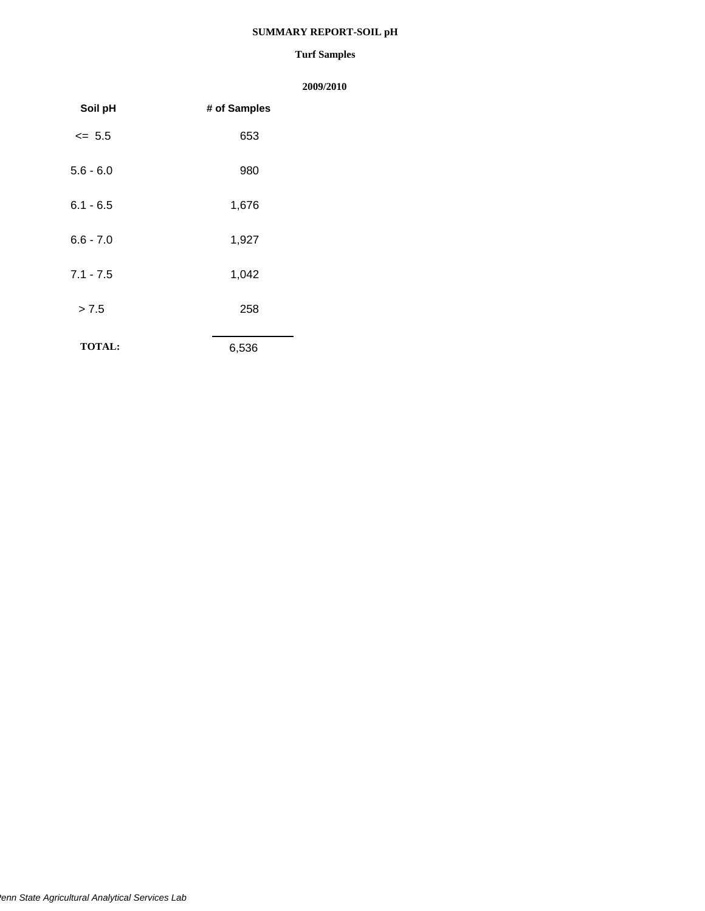#### **SUMMARY REPORT-SOIL pH**

#### **Turf Samples**

| Soil pH       | # of Samples |
|---------------|--------------|
| $\leq 5.5$    | 653          |
| $5.6 - 6.0$   | 980          |
| $6.1 - 6.5$   | 1,676        |
| $6.6 - 7.0$   | 1,927        |
| $7.1 - 7.5$   | 1,042        |
| > 7.5         | 258          |
| <b>TOTAL:</b> | 6,536        |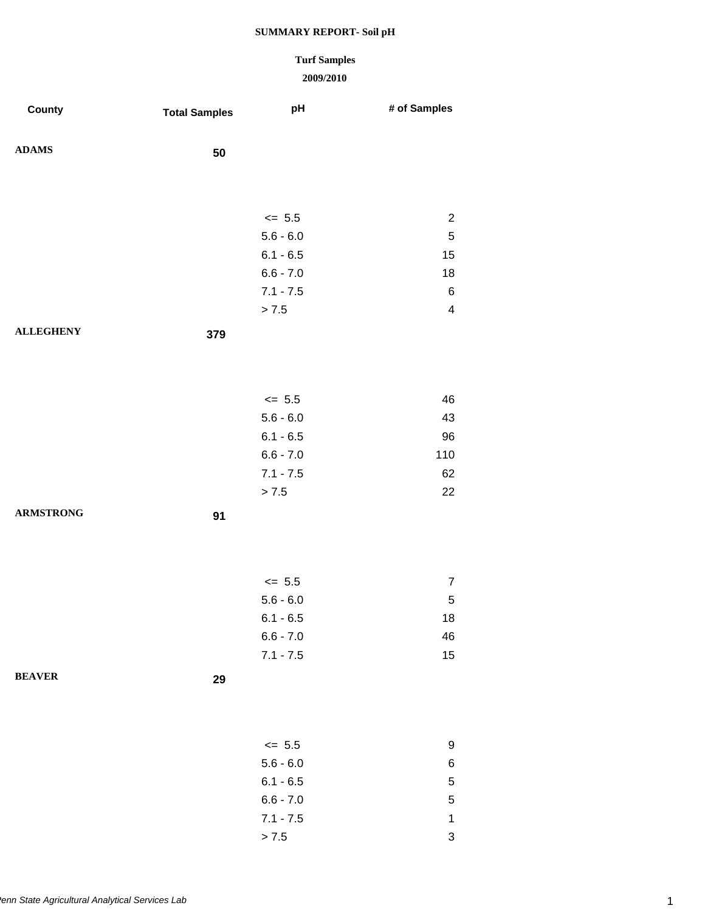### **Turf Samples**

| County           | <b>Total Samples</b> | pH          | # of Samples   |
|------------------|----------------------|-------------|----------------|
| <b>ADAMS</b>     | 50                   |             |                |
|                  |                      |             |                |
|                  |                      | $<= 5.5$    | $\overline{2}$ |
|                  |                      | $5.6 - 6.0$ | $\,$ 5 $\,$    |
|                  |                      | $6.1 - 6.5$ | 15             |
|                  |                      | $6.6 - 7.0$ | 18             |
|                  |                      | $7.1 - 7.5$ | $\,6$          |
|                  |                      | > 7.5       | 4              |
| <b>ALLEGHENY</b> | 379                  |             |                |
|                  |                      |             |                |
|                  |                      |             |                |
|                  |                      |             |                |
|                  |                      | $\le$ 5.5   | 46             |
|                  |                      | $5.6 - 6.0$ | 43             |
|                  |                      | $6.1 - 6.5$ | 96             |
|                  |                      | $6.6 - 7.0$ | 110            |
|                  |                      | $7.1 - 7.5$ | 62             |
|                  |                      | > 7.5       | 22             |
| <b>ARMSTRONG</b> | 91                   |             |                |
|                  |                      |             |                |
|                  |                      |             |                |
|                  |                      | $\leq$ 5.5  | $\overline{7}$ |
|                  |                      | $5.6 - 6.0$ | $\,$ 5 $\,$    |
|                  |                      | $6.1 - 6.5$ | 18             |
|                  |                      | $6.6 - 7.0$ | 46             |
|                  |                      | $7.1 - 7.5$ | 15             |
| <b>BEAVER</b>    |                      |             |                |
|                  | 29                   |             |                |
|                  |                      |             |                |
|                  |                      |             |                |
|                  |                      | $<= 5.5$    | 9              |
|                  |                      | $5.6 - 6.0$ | 6              |
|                  |                      | $6.1 - 6.5$ | 5              |
|                  |                      | $6.6 - 7.0$ | 5              |
|                  |                      | $7.1 - 7.5$ | $\mathbf 1$    |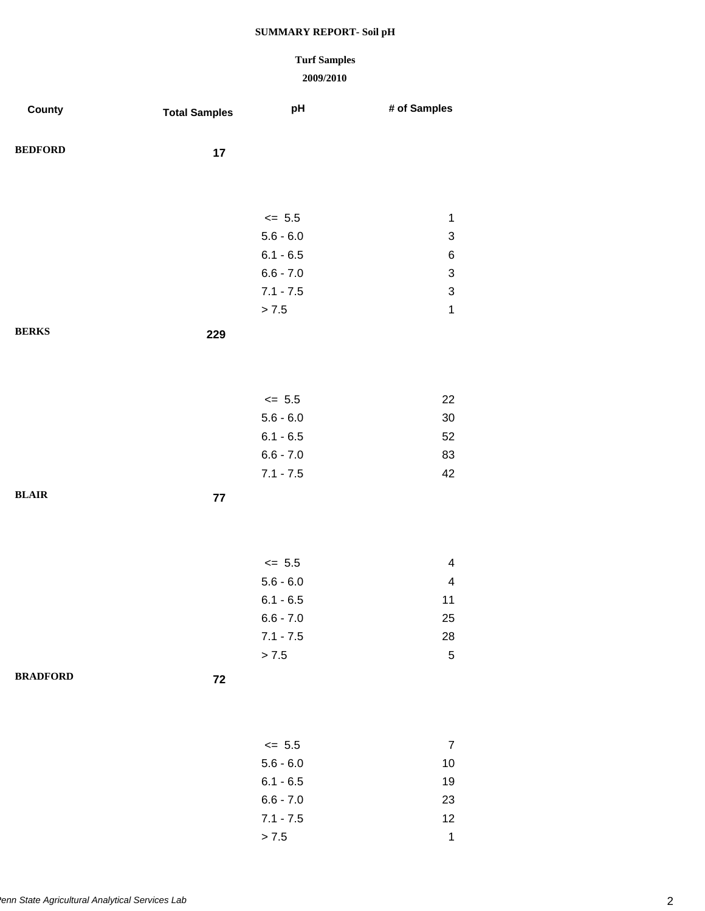# **Turf Samples**

### **2009/2010**

 $> 7.5$  1

| County          | <b>Total Samples</b> | pH                         | # of Samples              |
|-----------------|----------------------|----------------------------|---------------------------|
| <b>BEDFORD</b>  | 17                   |                            |                           |
|                 |                      |                            |                           |
|                 |                      | $\le$ 5.5                  | $\mathbf 1$               |
|                 |                      | $5.6 - 6.0$                | $\ensuremath{\mathsf{3}}$ |
|                 |                      | $6.1 - 6.5$                | $\,6$                     |
|                 |                      | $6.6 - 7.0$                | 3                         |
|                 |                      | $7.1 - 7.5$                | $\ensuremath{\mathsf{3}}$ |
|                 |                      | > 7.5                      | $\mathbf 1$               |
| <b>BERKS</b>    | 229                  |                            |                           |
|                 |                      |                            |                           |
|                 |                      |                            |                           |
|                 |                      | $\le$ 5.5                  | 22                        |
|                 |                      | $5.6 - 6.0$                | 30<br>52                  |
|                 |                      | $6.1 - 6.5$<br>$6.6 - 7.0$ | 83                        |
|                 |                      | $7.1 - 7.5$                | 42                        |
| <b>BLAIR</b>    |                      |                            |                           |
|                 | 77                   |                            |                           |
|                 |                      |                            |                           |
|                 |                      | $\le$ 5.5                  | $\overline{\mathbf{4}}$   |
|                 |                      | $5.6 - 6.0$                | $\overline{\mathbf{4}}$   |
|                 |                      | $6.1 - 6.5$                | 11                        |
|                 |                      | $6.6 - 7.0$                | 25                        |
|                 |                      | $7.1 - 7.5$                | 28                        |
|                 |                      | > 7.5                      | $\mathbf 5$               |
| <b>BRADFORD</b> | ${\bf 72}$           |                            |                           |
|                 |                      |                            |                           |
|                 |                      |                            |                           |
|                 |                      | $\le$ 5.5<br>$5.6 - 6.0$   | $\overline{7}$            |
|                 |                      | $6.1 - 6.5$                | $10$<br>19                |
|                 |                      | $6.6 - 7.0$                | 23                        |
|                 |                      | $7.1 - 7.5$                | 12                        |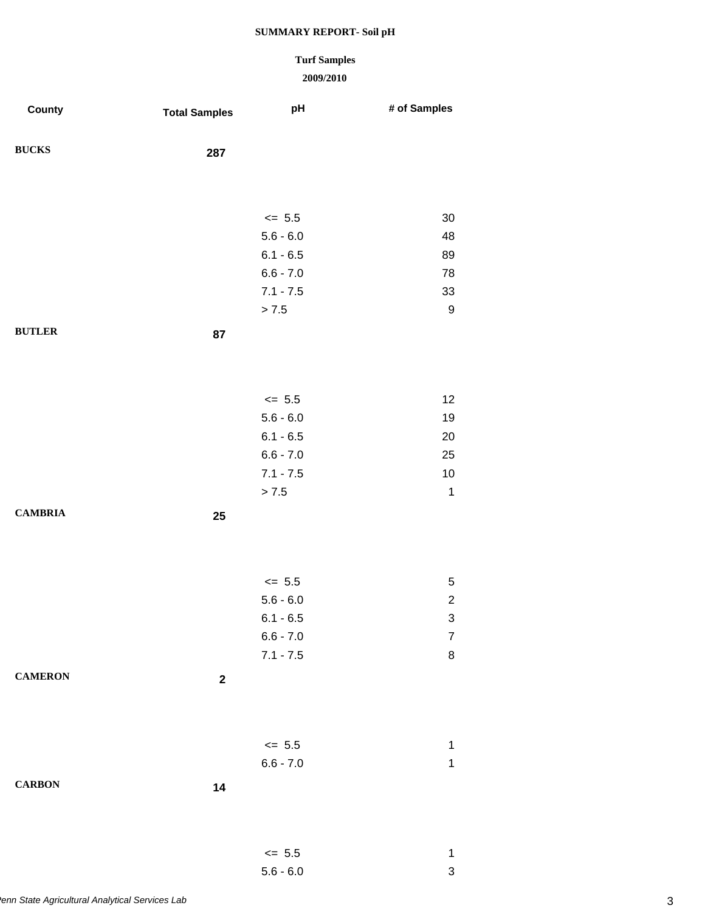### **Turf Samples**

### **2009/2010**

| County         | <b>Total Samples</b> | pH          | # of Samples     |
|----------------|----------------------|-------------|------------------|
| <b>BUCKS</b>   | 287                  |             |                  |
|                |                      |             |                  |
|                |                      | $\leq$ 5.5  | 30               |
|                |                      | $5.6 - 6.0$ | 48               |
|                |                      | $6.1 - 6.5$ | 89               |
|                |                      | $6.6 - 7.0$ | 78               |
|                |                      | $7.1 - 7.5$ | 33               |
|                |                      | $> 7.5$     | $\boldsymbol{9}$ |
| <b>BUTLER</b>  | 87                   |             |                  |
|                |                      |             |                  |
|                |                      | $\le$ 5.5   | 12               |
|                |                      | $5.6 - 6.0$ | 19               |
|                |                      | $6.1 - 6.5$ | 20               |
|                |                      | $6.6 - 7.0$ | 25               |
|                |                      | $7.1 - 7.5$ | $10$             |
|                |                      | > 7.5       | $\mathbf{1}$     |
| <b>CAMBRIA</b> | 25                   |             |                  |
|                |                      |             |                  |
|                |                      | $\le$ 5.5   | $\,$ 5 $\,$      |
|                |                      | $5.6 - 6.0$ | $\overline{c}$   |
|                |                      | $6.1 - 6.5$ | 3                |
|                |                      | $6.6 - 7.0$ | $\boldsymbol{7}$ |
|                |                      | $7.1 - 7.5$ | $\bf 8$          |
| <b>CAMERON</b> | $\mathbf 2$          |             |                  |
|                |                      |             |                  |
|                |                      | $\le$ 5.5   | $\mathbf 1$      |
|                |                      | $6.6 - 7.0$ | $\mathbf 1$      |
| <b>CARBON</b>  | 14                   |             |                  |
|                |                      |             |                  |
|                |                      |             |                  |
|                |                      | $\le$ 5.5   | 1                |

5.6 - 6.0 3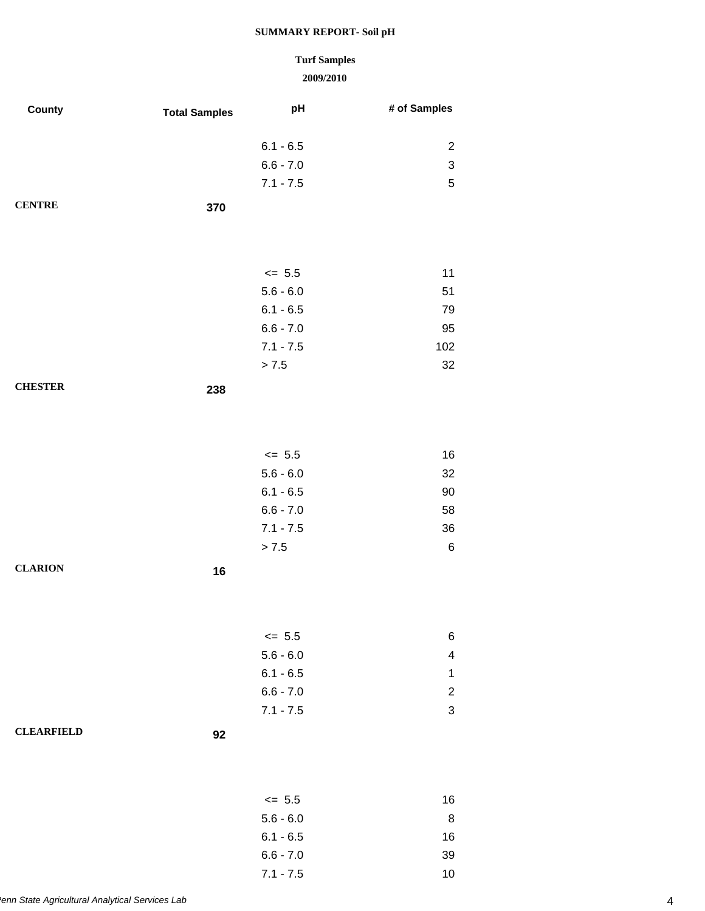# **Turf Samples**

#### **2009/2010**

7.1 - 7.5 10

| County            | <b>Total Samples</b> | pH          | # of Samples              |
|-------------------|----------------------|-------------|---------------------------|
|                   |                      | $6.1 - 6.5$ | $\overline{c}$            |
|                   |                      | $6.6 - 7.0$ | $\ensuremath{\mathsf{3}}$ |
|                   |                      | $7.1 - 7.5$ | $\sqrt{5}$                |
|                   |                      |             |                           |
| <b>CENTRE</b>     | 370                  |             |                           |
|                   |                      |             |                           |
|                   |                      |             |                           |
|                   |                      | $\leq$ 5.5  | 11                        |
|                   |                      | $5.6 - 6.0$ | 51                        |
|                   |                      | $6.1 - 6.5$ | 79                        |
|                   |                      | $6.6 - 7.0$ | 95                        |
|                   |                      | $7.1 - 7.5$ | 102                       |
|                   |                      | > 7.5       | 32                        |
| <b>CHESTER</b>    | 238                  |             |                           |
|                   |                      |             |                           |
|                   |                      |             |                           |
|                   |                      | $\le$ 5.5   | 16                        |
|                   |                      | $5.6 - 6.0$ | 32                        |
|                   |                      | $6.1 - 6.5$ | 90                        |
|                   |                      | $6.6 - 7.0$ | 58                        |
|                   |                      | $7.1 - 7.5$ | 36                        |
|                   |                      | > 7.5       | $\,6$                     |
| <b>CLARION</b>    | 16                   |             |                           |
|                   |                      |             |                           |
|                   |                      |             |                           |
|                   |                      | $\leq$ 5.5  | 6                         |
|                   |                      | $5.6 - 6.0$ | $\overline{\mathbf{4}}$   |
|                   |                      | $6.1 - 6.5$ | $\mathbf{1}$              |
|                   |                      | $6.6 - 7.0$ | $\overline{c}$            |
|                   |                      | $7.1 - 7.5$ | $\ensuremath{\mathsf{3}}$ |
| <b>CLEARFIELD</b> | 92                   |             |                           |
|                   |                      |             |                           |
|                   |                      |             |                           |
|                   |                      | $\le$ 5.5   | 16                        |
|                   |                      | $5.6 - 6.0$ | 8                         |
|                   |                      | $6.1 - 6.5$ |                           |
|                   |                      |             | 16                        |
|                   |                      | $6.6 - 7.0$ | 39                        |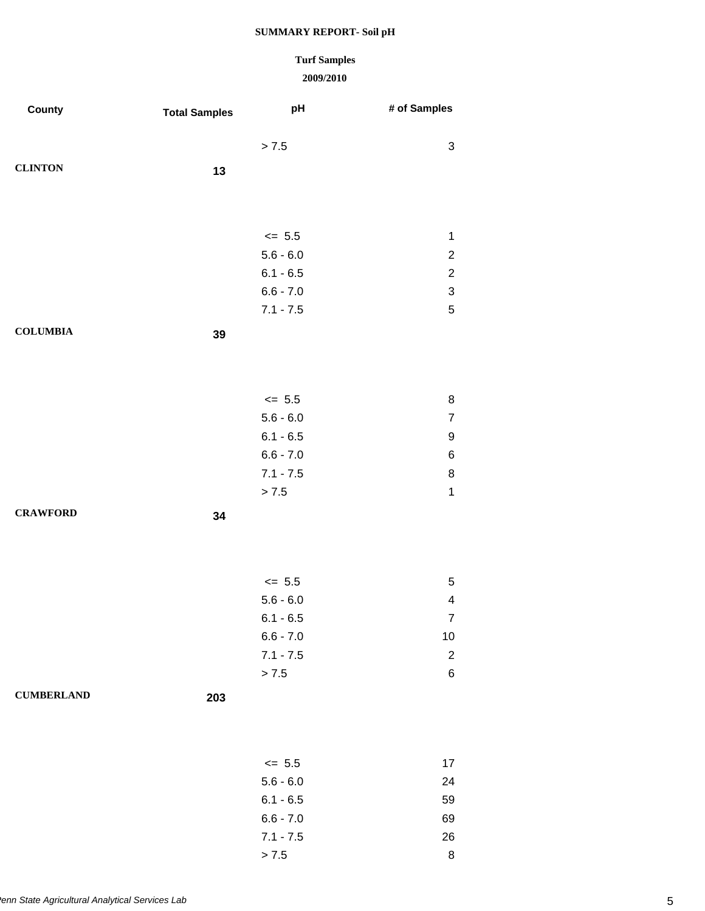# **Turf Samples**

#### **2009/2010**

 $> 7.5$  8

| County            | <b>Total Samples</b> | pH          | # of Samples     |
|-------------------|----------------------|-------------|------------------|
|                   |                      | > 7.5       | 3                |
| <b>CLINTON</b>    | 13                   |             |                  |
|                   |                      |             |                  |
|                   |                      |             |                  |
|                   |                      | $\le$ 5.5   | $\mathbf 1$      |
|                   |                      | $5.6 - 6.0$ | $\overline{c}$   |
|                   |                      | $6.1 - 6.5$ | $\overline{c}$   |
|                   |                      | $6.6 - 7.0$ | 3                |
|                   |                      | $7.1 - 7.5$ | 5                |
| <b>COLUMBIA</b>   | 39                   |             |                  |
|                   |                      |             |                  |
|                   |                      |             |                  |
|                   |                      | $\le$ 5.5   | 8                |
|                   |                      | $5.6 - 6.0$ | $\boldsymbol{7}$ |
|                   |                      | $6.1 - 6.5$ | 9                |
|                   |                      | $6.6 - 7.0$ | 6                |
|                   |                      | $7.1 - 7.5$ | 8                |
|                   |                      | $> 7.5\,$   | $\mathbf{1}$     |
| <b>CRAWFORD</b>   | 34                   |             |                  |
|                   |                      |             |                  |
|                   |                      |             |                  |
|                   |                      | $\le$ 5.5   | 5                |
|                   |                      | $5.6 - 6.0$ | 4                |
|                   |                      | $6.1 - 6.5$ | 7                |
|                   |                      | $6.6 - 7.0$ | $10$             |
|                   |                      | $7.1 - 7.5$ | $\overline{c}$   |
|                   |                      | > 7.5       | 6                |
| <b>CUMBERLAND</b> | 203                  |             |                  |
|                   |                      |             |                  |
|                   |                      |             |                  |
|                   |                      | $\le$ 5.5   | 17               |
|                   |                      | $5.6 - 6.0$ | 24               |
|                   |                      | $6.1 - 6.5$ | 59               |
|                   |                      | $6.6 - 7.0$ | 69               |
|                   |                      | $7.1 - 7.5$ | 26               |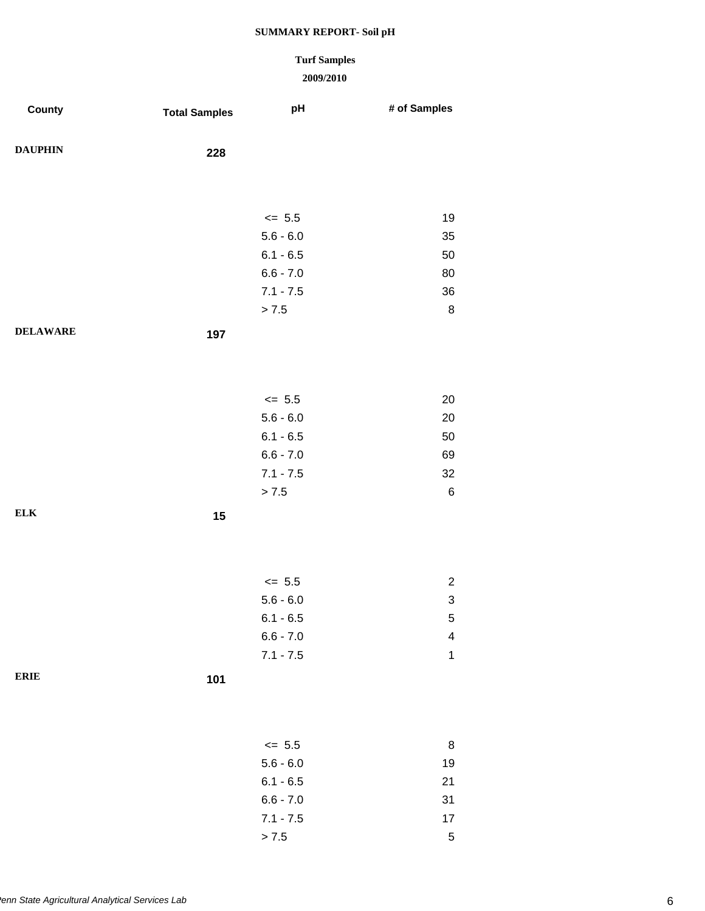# **Turf Samples**

| County          | <b>Total Samples</b> | pH          | # of Samples              |
|-----------------|----------------------|-------------|---------------------------|
| <b>DAUPHIN</b>  | 228                  |             |                           |
|                 |                      |             |                           |
|                 |                      | $\leq$ 5.5  | 19                        |
|                 |                      | $5.6 - 6.0$ | 35                        |
|                 |                      | $6.1 - 6.5$ | 50                        |
|                 |                      | $6.6 - 7.0$ | 80                        |
|                 |                      | $7.1 - 7.5$ | 36                        |
|                 |                      | > 7.5       | $\,8\,$                   |
| <b>DELAWARE</b> | 197                  |             |                           |
|                 |                      |             |                           |
|                 |                      |             |                           |
|                 |                      | $\le$ 5.5   | 20                        |
|                 |                      | $5.6 - 6.0$ | 20                        |
|                 |                      | $6.1 - 6.5$ | 50                        |
|                 |                      | $6.6 - 7.0$ | 69                        |
|                 |                      | $7.1 - 7.5$ | 32                        |
|                 |                      | > 7.5       | $\,6\,$                   |
| ${\bf ELK}$     | 15                   |             |                           |
|                 |                      |             |                           |
|                 |                      |             |                           |
|                 |                      |             |                           |
|                 |                      | $\le$ 5.5   | $\overline{c}$            |
|                 |                      | $5.6 - 6.0$ | $\ensuremath{\mathsf{3}}$ |
|                 |                      | $6.1 - 6.5$ | 5                         |
|                 |                      | $6.6 - 7.0$ | $\overline{\mathbf{4}}$   |
|                 |                      | $7.1 - 7.5$ | $\mathbf 1$               |
| <b>ERIE</b>     | 101                  |             |                           |
|                 |                      |             |                           |
|                 |                      |             |                           |
|                 |                      | $<= 5.5$    | 8                         |
|                 |                      | $5.6 - 6.0$ | $19$                      |
|                 |                      | $6.1 - 6.5$ | 21                        |
|                 |                      | $6.6 - 7.0$ | 31                        |
|                 |                      | $7.1 - 7.5$ | $17$                      |
|                 |                      | > 7.5       | $\mathbf 5$               |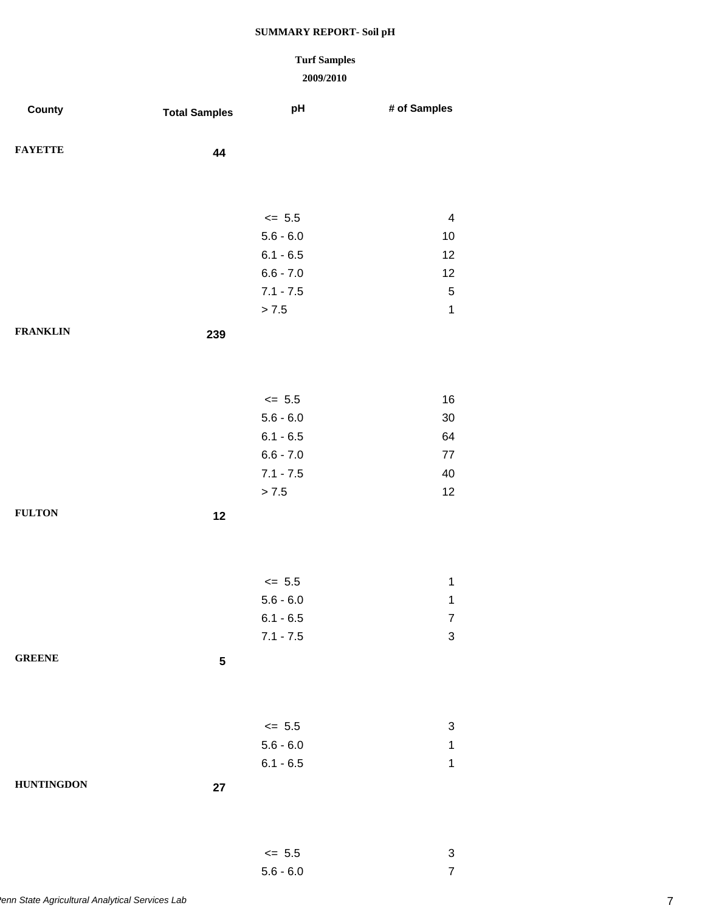### **Turf Samples**

### **2009/2010**

5.6 - 6.0 7

| County            | <b>Total Samples</b> | pH          | # of Samples            |
|-------------------|----------------------|-------------|-------------------------|
| <b>FAYETTE</b>    | 44                   |             |                         |
|                   |                      |             |                         |
|                   |                      | $\leq$ 5.5  | $\overline{\mathbf{4}}$ |
|                   |                      | $5.6 - 6.0$ | 10                      |
|                   |                      | $6.1 - 6.5$ | 12                      |
|                   |                      | $6.6 - 7.0$ | 12                      |
|                   |                      | $7.1 - 7.5$ | $\,$ 5 $\,$             |
|                   |                      | > 7.5       | $\mathbf{1}$            |
| <b>FRANKLIN</b>   | 239                  |             |                         |
|                   |                      |             |                         |
|                   |                      | $\le$ 5.5   | 16                      |
|                   |                      | $5.6 - 6.0$ | $30\,$                  |
|                   |                      | $6.1 - 6.5$ | 64                      |
|                   |                      | $6.6 - 7.0$ | $77\,$                  |
|                   |                      | $7.1 - 7.5$ | 40                      |
|                   |                      | > 7.5       | 12                      |
| <b>FULTON</b>     | 12                   |             |                         |
|                   |                      |             |                         |
|                   |                      | $\le$ 5.5   | $\mathbf{1}$            |
|                   |                      | $5.6 - 6.0$ | $\mathbf{1}$            |
|                   |                      | $6.1 - 6.5$ | $\overline{7}$          |
|                   |                      | $7.1 - 7.5$ | 3                       |
| <b>GREENE</b>     | ${\bf 5}$            |             |                         |
|                   |                      |             |                         |
|                   |                      | $\leq$ 5.5  | 3                       |
|                   |                      | $5.6 - 6.0$ | $\mathbf 1$             |
|                   |                      | $6.1 - 6.5$ | $\mathbf{1}$            |
| <b>HUNTINGDON</b> | 27                   |             |                         |
|                   |                      |             |                         |
|                   |                      | $\le$ 5.5   | 3                       |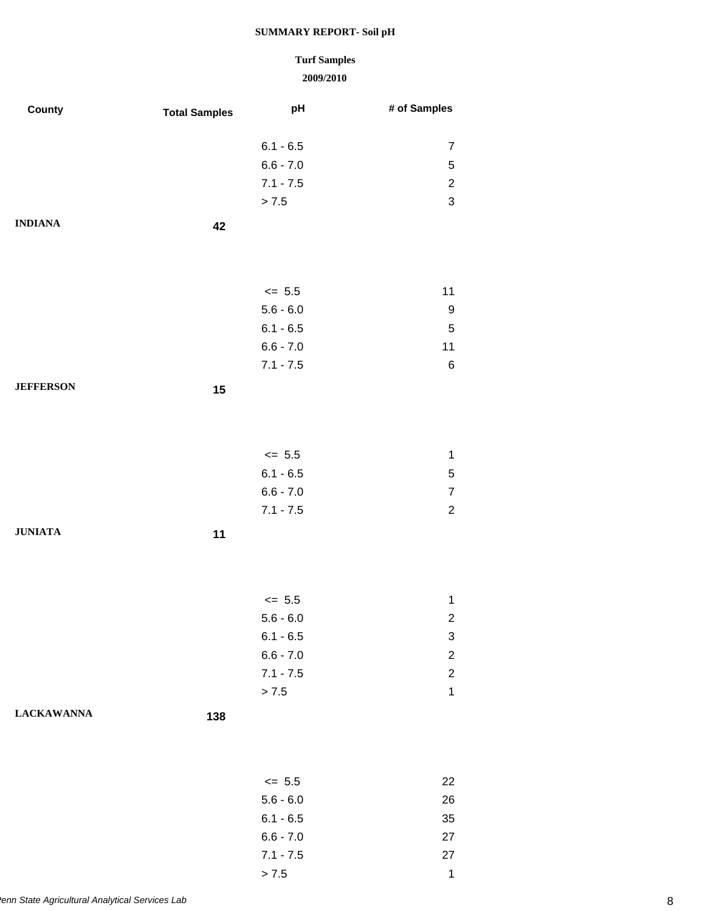### **Turf Samples**

| County            | <b>Total Samples</b> | pH          | # of Samples            |
|-------------------|----------------------|-------------|-------------------------|
|                   |                      |             |                         |
|                   |                      | $6.1 - 6.5$ | $\overline{7}$          |
|                   |                      | $6.6 - 7.0$ | 5                       |
|                   |                      | $7.1 - 7.5$ | $\overline{2}$          |
|                   |                      | $> 7.5$     | 3                       |
| <b>INDIANA</b>    | 42                   |             |                         |
|                   |                      |             |                         |
|                   |                      |             |                         |
|                   |                      | $\le$ 5.5   | 11                      |
|                   |                      | $5.6 - 6.0$ | 9                       |
|                   |                      | $6.1 - 6.5$ | 5                       |
|                   |                      | $6.6 - 7.0$ | 11                      |
|                   |                      | $7.1 - 7.5$ | $\,6$                   |
| <b>JEFFERSON</b>  | 15                   |             |                         |
|                   |                      |             |                         |
|                   |                      |             |                         |
|                   |                      |             |                         |
|                   |                      | $\le$ 5.5   | $\mathbf 1$             |
|                   |                      | $6.1 - 6.5$ | 5                       |
|                   |                      | $6.6 - 7.0$ | $\overline{7}$          |
|                   |                      | $7.1 - 7.5$ | $\overline{2}$          |
| <b>JUNIATA</b>    | 11                   |             |                         |
|                   |                      |             |                         |
|                   |                      |             |                         |
|                   |                      | $\le$ 5.5   | $\mathbf{1}$            |
|                   |                      | $5.6 - 6.0$ | $\overline{c}$          |
|                   |                      | $6.1 - 6.5$ | 3                       |
|                   |                      | $6.6 - 7.0$ | $\overline{\mathbf{c}}$ |
|                   |                      | $7.1 - 7.5$ | $\overline{c}$          |
|                   |                      | $> 7.5$     | $\mathbf{1}$            |
| <b>LACKAWANNA</b> |                      |             |                         |
|                   | 138                  |             |                         |
|                   |                      |             |                         |
|                   |                      |             |                         |
|                   |                      | $\le$ 5.5   | 22                      |
|                   |                      | $5.6 - 6.0$ | 26                      |
|                   |                      | $6.1 - 6.5$ | 35                      |
|                   |                      | $6.6 - 7.0$ | 27                      |
|                   |                      | $7.1 - 7.5$ | 27                      |
|                   |                      | > 7.5       | $\mathbf{1}$            |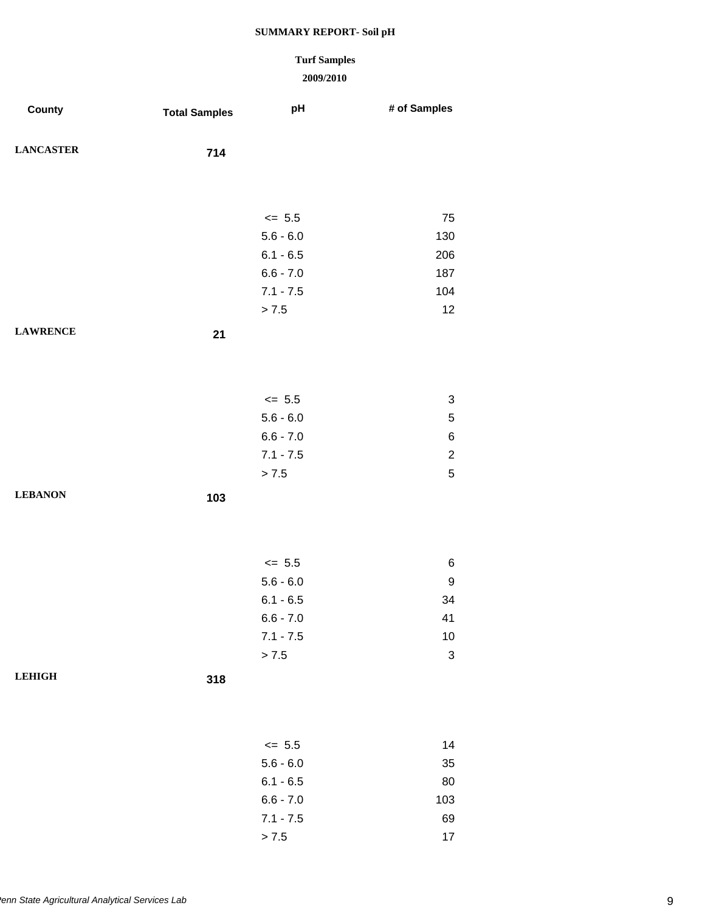# **Turf Samples**

| County           | <b>Total Samples</b> | pH          | # of Samples              |
|------------------|----------------------|-------------|---------------------------|
| <b>LANCASTER</b> | 714                  |             |                           |
|                  |                      |             |                           |
|                  |                      | $\leq$ 5.5  | 75                        |
|                  |                      | $5.6 - 6.0$ | 130                       |
|                  |                      | $6.1 - 6.5$ | 206                       |
|                  |                      | $6.6 - 7.0$ | 187                       |
|                  |                      | $7.1 - 7.5$ | 104                       |
|                  |                      | > 7.5       | 12                        |
| <b>LAWRENCE</b>  | 21                   |             |                           |
|                  |                      |             |                           |
|                  |                      | $\leq$ 5.5  | $\ensuremath{\mathsf{3}}$ |
|                  |                      | $5.6 - 6.0$ | $\mathbf 5$               |
|                  |                      | $6.6 - 7.0$ | $\,6$                     |
|                  |                      | $7.1 - 7.5$ | $\boldsymbol{2}$          |
|                  |                      | > 7.5       | $\mathbf 5$               |
| <b>LEBANON</b>   | 103                  |             |                           |
|                  |                      |             |                           |
|                  |                      | $\leq$ 5.5  | 6                         |
|                  |                      | $5.6 - 6.0$ | $\boldsymbol{9}$          |
|                  |                      | $6.1 - 6.5$ | 34                        |
|                  |                      | $6.6 - 7.0$ | 41                        |
|                  |                      | $7.1 - 7.5$ | $10$                      |
|                  |                      | > 7.5       | $\ensuremath{\mathsf{3}}$ |
| <b>LEHIGH</b>    | 318                  |             |                           |
|                  |                      |             |                           |
|                  |                      | $\le$ 5.5   | 14                        |
|                  |                      | $5.6 - 6.0$ | 35                        |
|                  |                      | $6.1 - 6.5$ | 80                        |
|                  |                      | $6.6 - 7.0$ | 103                       |
|                  |                      | $7.1 - 7.5$ | 69                        |
|                  |                      | $> 7.5$     | $17\,$                    |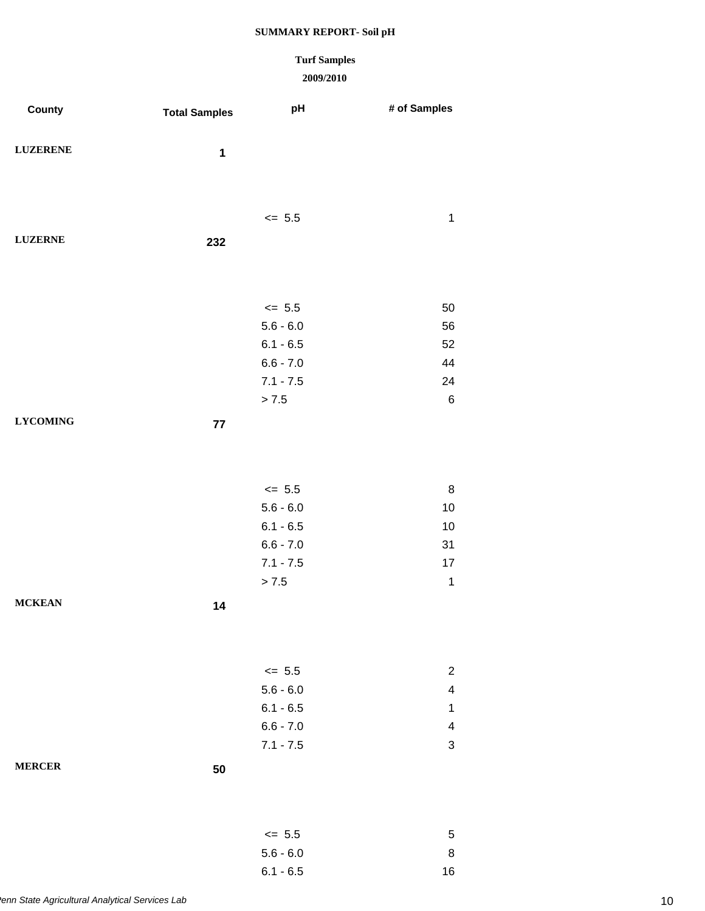### **Turf Samples**

| County          | <b>Total Samples</b> | pH          | # of Samples              |
|-----------------|----------------------|-------------|---------------------------|
| <b>LUZERENE</b> | $\mathbf 1$          |             |                           |
|                 |                      |             |                           |
|                 |                      | $\leq$ 5.5  | $\mathbf 1$               |
| <b>LUZERNE</b>  | 232                  |             |                           |
|                 |                      |             |                           |
|                 |                      | $\leq$ 5.5  | 50                        |
|                 |                      | $5.6 - 6.0$ | 56                        |
|                 |                      | $6.1 - 6.5$ | 52                        |
|                 |                      | $6.6 - 7.0$ | 44                        |
|                 |                      | $7.1 - 7.5$ | 24                        |
|                 |                      | > 7.5       | $\,6\,$                   |
| <b>LYCOMING</b> | 77                   |             |                           |
|                 |                      |             |                           |
|                 |                      | $\le$ 5.5   | $\bf 8$                   |
|                 |                      | $5.6 - 6.0$ | $10$                      |
|                 |                      | $6.1 - 6.5$ | $10$                      |
|                 |                      | $6.6 - 7.0$ | 31                        |
|                 |                      | $7.1 - 7.5$ | $17$                      |
|                 |                      | $> 7.5$     | $\mathbf 1$               |
| <b>MCKEAN</b>   | 14                   |             |                           |
|                 |                      |             |                           |
|                 |                      | $\le$ 5.5   | $\mathbf{2}$              |
|                 |                      | $5.6 - 6.0$ | $\overline{\mathbf{4}}$   |
|                 |                      | $6.1 - 6.5$ | $\mathbf 1$               |
|                 |                      | $6.6 - 7.0$ | $\overline{\mathbf{4}}$   |
|                 |                      | $7.1 - 7.5$ | $\ensuremath{\mathsf{3}}$ |
| <b>MERCER</b>   | 50                   |             |                           |
|                 |                      |             |                           |
|                 |                      | $\le$ 5.5   | 5                         |
|                 |                      | $5.6 - 6.0$ | 8                         |
|                 |                      | $6.1 - 6.5$ | 16                        |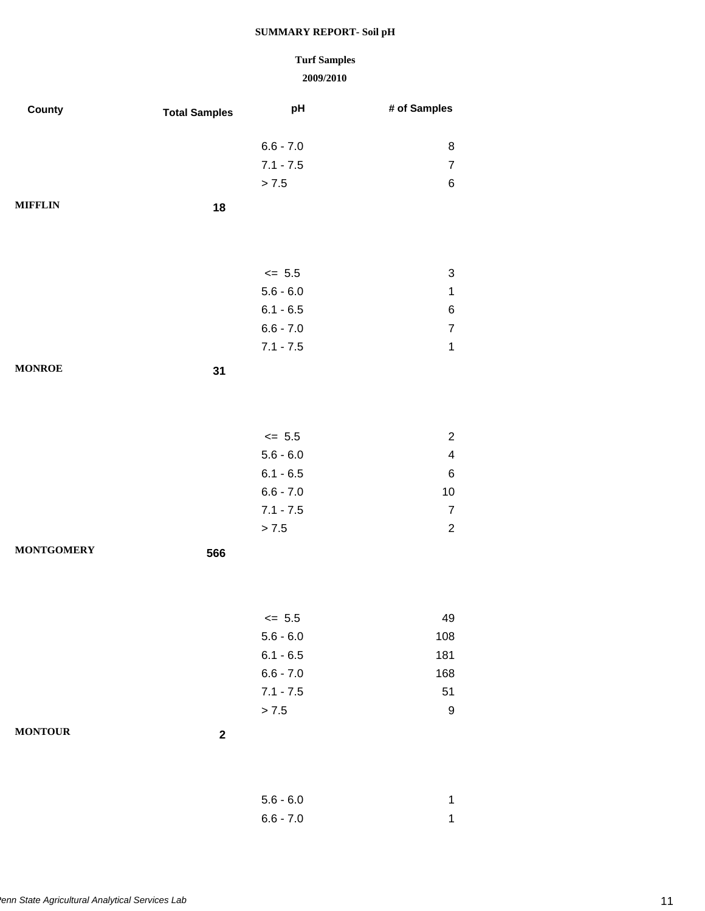### **2009/2010 Turf Samples**

| County            | <b>Total Samples</b> | pH                         | # of Samples                              |
|-------------------|----------------------|----------------------------|-------------------------------------------|
|                   |                      | $6.6 - 7.0$                | 8                                         |
|                   |                      | $7.1 - 7.5$                | $\overline{7}$                            |
|                   |                      | > 7.5                      | $\,6$                                     |
| <b>MIFFLIN</b>    | 18                   |                            |                                           |
|                   |                      | $\le$ 5.5                  | 3                                         |
|                   |                      | $5.6 - 6.0$                | $\mathbf 1$                               |
|                   |                      | $6.1 - 6.5$                | $6\phantom{a}$                            |
|                   |                      | $6.6 - 7.0$                | $\overline{7}$                            |
|                   |                      | $7.1 - 7.5$                | $\mathbf 1$                               |
| <b>MONROE</b>     | 31                   |                            |                                           |
|                   |                      |                            |                                           |
|                   |                      | $\le$ 5.5                  | $\overline{c}$                            |
|                   |                      | $5.6 - 6.0$                | $\overline{\mathcal{L}}$                  |
|                   |                      | $6.1 - 6.5$                | $\,6$                                     |
|                   |                      | $6.6 - 7.0$                | 10                                        |
|                   |                      | $7.1 - 7.5$<br>> 7.5       | $\overline{7}$<br>$\overline{\mathbf{c}}$ |
| <b>MONTGOMERY</b> | 566                  |                            |                                           |
|                   |                      |                            |                                           |
|                   |                      |                            |                                           |
|                   |                      | $\leq$ 5.5                 | 49                                        |
|                   |                      | $5.6 - 6.0$<br>$6.1 - 6.5$ | 108<br>181                                |
|                   |                      | $6.6 - 7.0$                | 168                                       |
|                   |                      | $7.1 - 7.5$                | 51                                        |
|                   |                      | > 7.5                      | 9                                         |
| <b>MONTOUR</b>    | $\boldsymbol{2}$     |                            |                                           |
|                   |                      |                            |                                           |
|                   |                      | $5.6 - 6.0$<br>$6.6 - 7.0$ | 1<br>$\mathbf 1$                          |
|                   |                      |                            |                                           |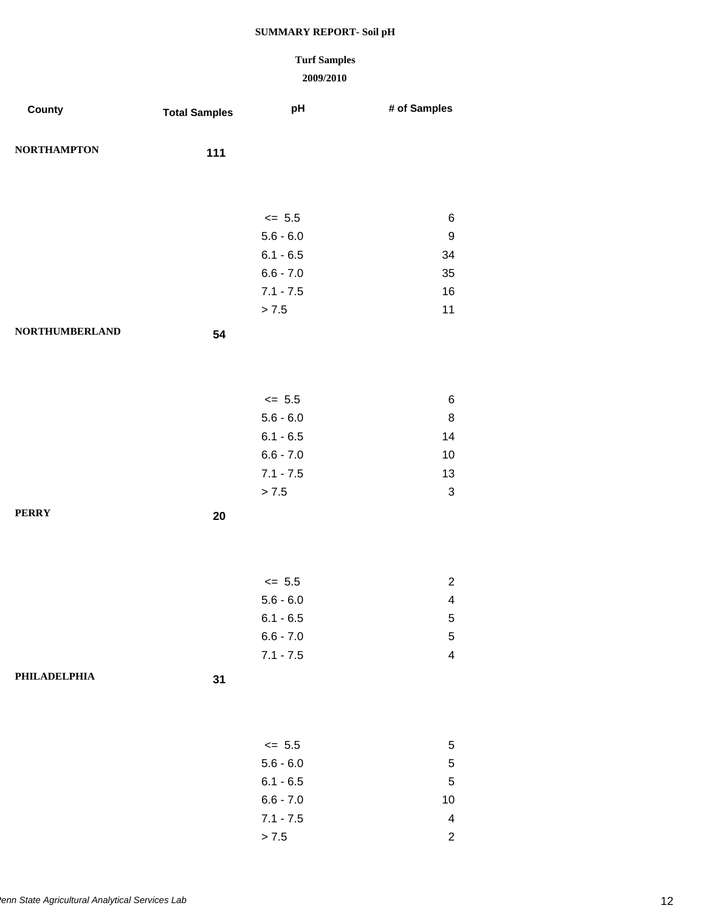# **Turf Samples**

| County                | <b>Total Samples</b> | pH          | # of Samples             |
|-----------------------|----------------------|-------------|--------------------------|
| <b>NORTHAMPTON</b>    | 111                  |             |                          |
|                       |                      |             |                          |
|                       |                      | $\le$ 5.5   | 6                        |
|                       |                      | $5.6 - 6.0$ | $\boldsymbol{9}$         |
|                       |                      | $6.1 - 6.5$ | 34                       |
|                       |                      | $6.6 - 7.0$ | 35                       |
|                       |                      | $7.1 - 7.5$ | 16                       |
|                       |                      | > 7.5       | 11                       |
| <b>NORTHUMBERLAND</b> | 54                   |             |                          |
|                       |                      |             |                          |
|                       |                      | $\leq$ 5.5  | 6                        |
|                       |                      | $5.6 - 6.0$ | $\,8\,$                  |
|                       |                      | $6.1 - 6.5$ | 14                       |
|                       |                      | $6.6 - 7.0$ | 10                       |
|                       |                      | $7.1 - 7.5$ | 13                       |
|                       |                      | > 7.5       | $\sqrt{3}$               |
| <b>PERRY</b>          | 20                   |             |                          |
|                       |                      |             |                          |
|                       |                      | $\leq$ 5.5  | $\overline{c}$           |
|                       |                      | $5.6 - 6.0$ | $\overline{\mathbf{4}}$  |
|                       |                      | $6.1 - 6.5$ | 5                        |
|                       |                      | $6.6 - 7.0$ | $\,$ 5 $\,$              |
|                       |                      | $7.1 - 7.5$ | $\overline{\mathbf{4}}$  |
| PHILADELPHIA          | 31                   |             |                          |
|                       |                      |             |                          |
|                       |                      | $\le$ 5.5   | 5                        |
|                       |                      | $5.6 - 6.0$ | $\mathbf 5$              |
|                       |                      | $6.1 - 6.5$ | $\sqrt{5}$               |
|                       |                      | $6.6 - 7.0$ | 10                       |
|                       |                      | $7.1 - 7.5$ | $\overline{\mathcal{A}}$ |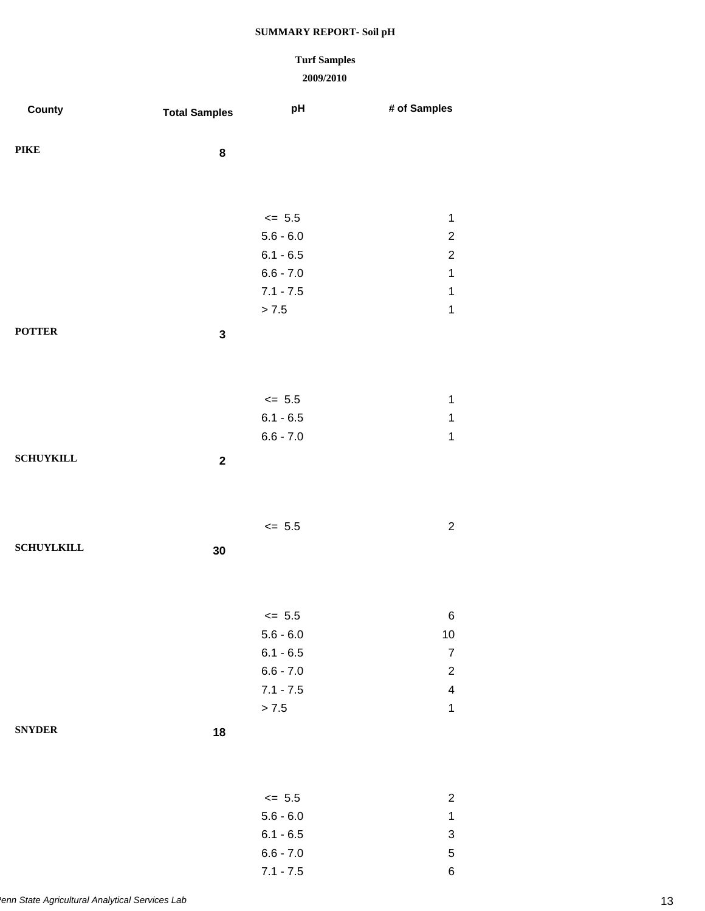### **Turf Samples**

| County            | <b>Total Samples</b> | pH                         | # of Samples                   |
|-------------------|----------------------|----------------------------|--------------------------------|
|                   |                      |                            |                                |
| <b>PIKE</b>       | 8                    |                            |                                |
|                   |                      |                            |                                |
|                   |                      |                            |                                |
|                   |                      | $\le$ 5.5                  | $\mathbf{1}$                   |
|                   |                      | $5.6 - 6.0$<br>$6.1 - 6.5$ | $\sqrt{2}$<br>$\sqrt{2}$       |
|                   |                      | $6.6 - 7.0$                | $\mathbf 1$                    |
|                   |                      | $7.1 - 7.5$                | $\mathbf 1$                    |
|                   |                      | > 7.5                      | $\mathbf 1$                    |
| <b>POTTER</b>     | $\mathbf 3$          |                            |                                |
|                   |                      |                            |                                |
|                   |                      |                            |                                |
|                   |                      | $\le$ 5.5                  | $\mathbf{1}$                   |
|                   |                      | $6.1 - 6.5$                | $\mathbf 1$                    |
|                   |                      | $6.6 - 7.0$                | $\mathbf 1$                    |
| <b>SCHUYKILL</b>  | $\boldsymbol{2}$     |                            |                                |
|                   |                      |                            |                                |
|                   |                      |                            |                                |
|                   |                      | $\leq$ 5.5                 | $\boldsymbol{2}$               |
| <b>SCHUYLKILL</b> |                      |                            |                                |
|                   | 30                   |                            |                                |
|                   |                      |                            |                                |
|                   |                      |                            |                                |
|                   |                      | $\leq$ 5.5                 | $\,6$                          |
|                   |                      | $5.6 - 6.0$                | $10$                           |
|                   |                      | $6.1 - 6.5$<br>$6.6 - 7.0$ | $\boldsymbol{7}$<br>$\sqrt{2}$ |
|                   |                      | $7.1 - 7.5$                | $\overline{\mathcal{A}}$       |
|                   |                      | > 7.5                      | $\mathbf 1$                    |
| <b>SNYDER</b>     | 18                   |                            |                                |
|                   |                      |                            |                                |
|                   |                      |                            |                                |
|                   |                      |                            |                                |
|                   |                      | $\le$ 5.5<br>$5.6 - 6.0$   | $\sqrt{2}$<br>$\mathbf{1}$     |
|                   |                      | $6.1 - 6.5$                | 3                              |
|                   |                      | $6.6 - 7.0$                | $\overline{5}$                 |
|                   |                      | $7.1 - 7.5$                | 6                              |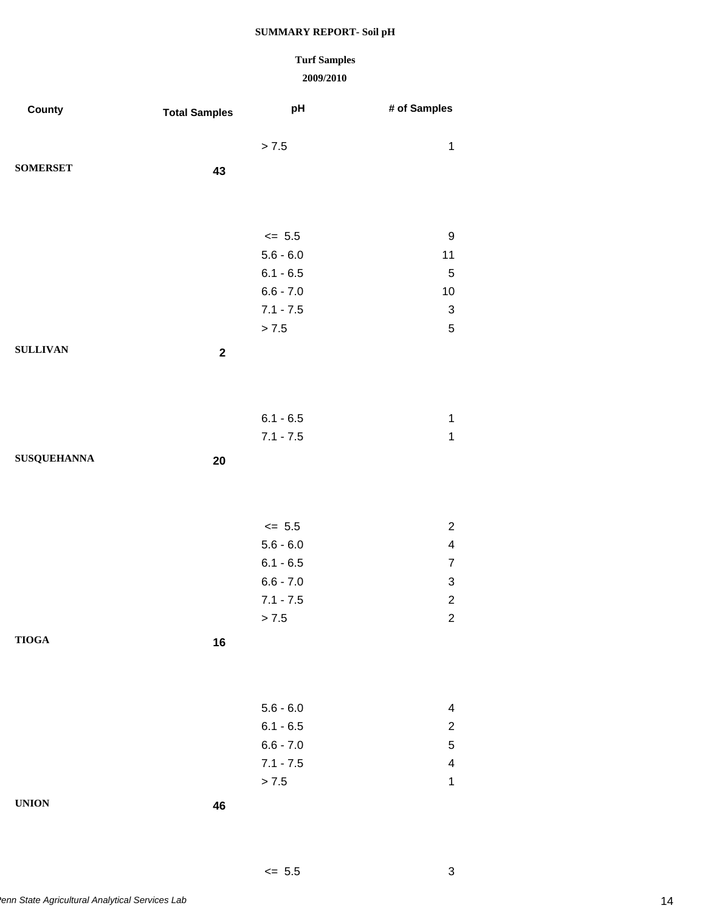# **Turf Samples**

| County             | <b>Total Samples</b> | рH          | # of Samples              |
|--------------------|----------------------|-------------|---------------------------|
|                    |                      | > 7.5       | $\mathbf 1$               |
| <b>SOMERSET</b>    |                      |             |                           |
|                    | 43                   |             |                           |
|                    |                      |             |                           |
|                    |                      |             |                           |
|                    |                      | $\le$ 5.5   | 9                         |
|                    |                      | $5.6 - 6.0$ | 11                        |
|                    |                      | $6.1 - 6.5$ | $\sqrt{5}$                |
|                    |                      | $6.6 - 7.0$ | $10$                      |
|                    |                      | $7.1 - 7.5$ | $\ensuremath{\mathsf{3}}$ |
|                    |                      | $> 7.5$     | $\sqrt{5}$                |
| <b>SULLIVAN</b>    | $\mathbf 2$          |             |                           |
|                    |                      |             |                           |
|                    |                      |             |                           |
|                    |                      | $6.1 - 6.5$ | $\mathbf{1}$              |
|                    |                      | $7.1 - 7.5$ | $\mathbf{1}$              |
| <b>SUSQUEHANNA</b> |                      |             |                           |
|                    | 20                   |             |                           |
|                    |                      |             |                           |
|                    |                      |             |                           |
|                    |                      | $\le$ 5.5   | $\overline{2}$            |
|                    |                      | $5.6 - 6.0$ | $\overline{\mathbf{4}}$   |
|                    |                      | $6.1 - 6.5$ | $\overline{7}$            |
|                    |                      | $6.6 - 7.0$ | 3                         |
|                    |                      | $7.1 - 7.5$ | $\overline{c}$            |
|                    |                      | > 7.5       | 2                         |
| <b>TIOGA</b>       | 16                   |             |                           |
|                    |                      |             |                           |
|                    |                      |             |                           |
|                    |                      | $5.6 - 6.0$ | 4                         |
|                    |                      | $6.1 - 6.5$ | $\overline{c}$            |
|                    |                      | $6.6 - 7.0$ | $\mathbf 5$               |
|                    |                      | $7.1 - 7.5$ | 4                         |
|                    |                      | $> 7.5$     | $\mathbf{1}$              |
| <b>UNION</b>       |                      |             |                           |
|                    | 46                   |             |                           |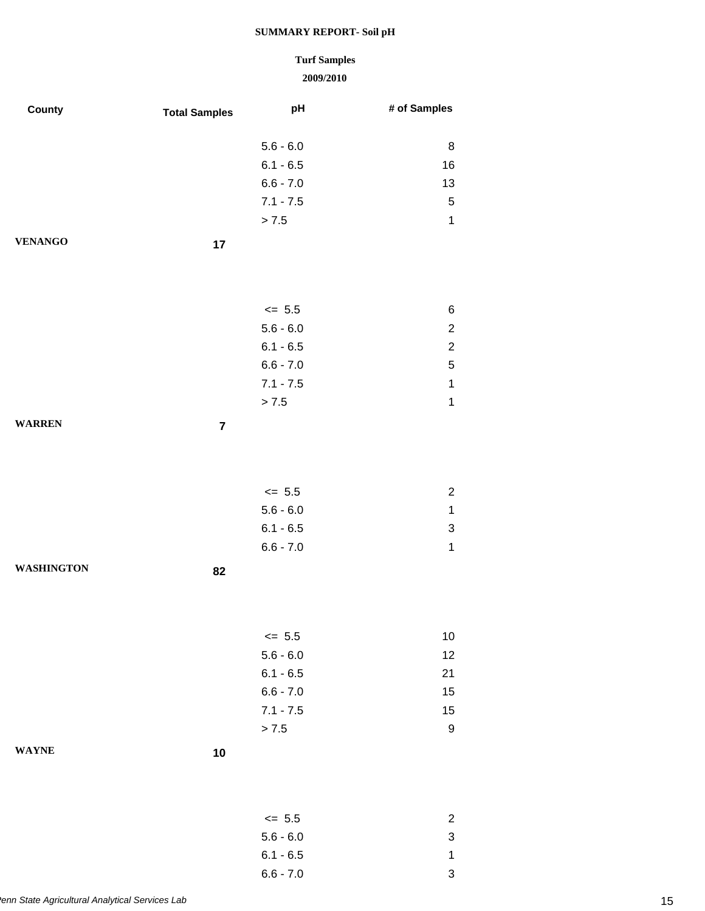### **Turf Samples**

| County            | <b>Total Samples</b>    | pH                         | # of Samples     |
|-------------------|-------------------------|----------------------------|------------------|
|                   |                         |                            |                  |
|                   |                         | $5.6 - 6.0$                | 8                |
|                   |                         | $6.1 - 6.5$<br>$6.6 - 7.0$ | 16<br>13         |
|                   |                         | $7.1 - 7.5$                | $\,$ 5 $\,$      |
|                   |                         | > 7.5                      | $\mathbf{1}$     |
| <b>VENANGO</b>    |                         |                            |                  |
|                   | 17                      |                            |                  |
|                   |                         |                            |                  |
|                   |                         |                            |                  |
|                   |                         | $\le$ 5.5                  | 6                |
|                   |                         | $5.6 - 6.0$                | $\boldsymbol{2}$ |
|                   |                         | $6.1 - 6.5$                | $\overline{c}$   |
|                   |                         | $6.6 - 7.0$                | $\,$ 5 $\,$      |
|                   |                         | $7.1 - 7.5$                | $\mathbf 1$      |
|                   |                         | > 7.5                      | $\mathbf{1}$     |
| <b>WARREN</b>     | $\overline{\mathbf{7}}$ |                            |                  |
|                   |                         |                            |                  |
|                   |                         |                            |                  |
|                   |                         | $\le$ 5.5                  | $\overline{c}$   |
|                   |                         | $5.6 - 6.0$                | $\mathbf{1}$     |
|                   |                         | $6.1 - 6.5$                | 3                |
|                   |                         | $6.6 - 7.0$                | $\mathbf{1}$     |
| <b>WASHINGTON</b> | 82                      |                            |                  |
|                   |                         |                            |                  |
|                   |                         |                            |                  |
|                   |                         |                            |                  |
|                   |                         | $\leq$ 5.5                 | 10               |
|                   |                         | $5.6 - 6.0$                | 12               |
|                   |                         | $6.1 - 6.5$<br>$6.6 - 7.0$ | 21<br>15         |
|                   |                         | $7.1 - 7.5$                | 15               |
|                   |                         | > 7.5                      | $\boldsymbol{9}$ |
| <b>WAYNE</b>      |                         |                            |                  |
|                   | $10$                    |                            |                  |
|                   |                         |                            |                  |
|                   |                         |                            |                  |
|                   |                         | $\le$ 5.5                  | $\overline{c}$   |
|                   |                         | $5.6 - 6.0$                | 3                |
|                   |                         | $6.1 - 6.5$                | $\mathbf{1}$     |
|                   |                         | $6.6 - 7.0$                | 3                |